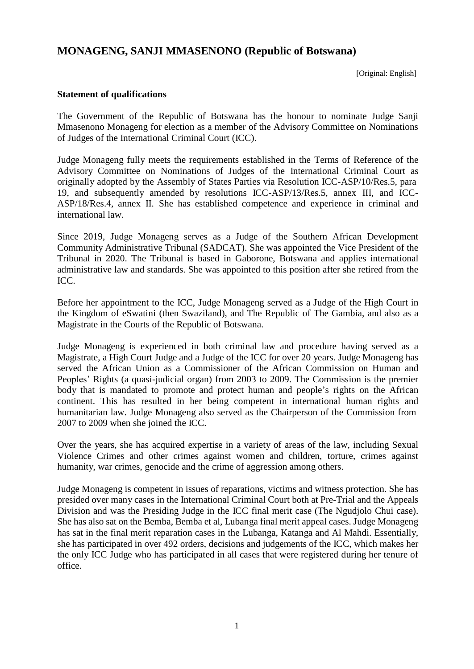# **MONAGENG, SANJI MMASENONO (Republic of Botswana)**

[Original: English]

#### **Statement of qualifications**

The Government of the Republic of Botswana has the honour to nominate Judge Sanji Mmasenono Monageng for election as a member of the Advisory Committee on Nominations of Judges of the International Criminal Court (ICC).

Judge Monageng fully meets the requirements established in the Terms of Reference of the Advisory Committee on Nominations of Judges of the International Criminal Court as originally adopted by the Assembly of States Parties via Resolution ICC-ASP/10/Res.5, para 19, and subsequently amended by resolutions ICC-ASP/13/Res.5, annex III, and ICC-ASP/18/Res.4, annex II. She has established competence and experience in criminal and international law.

Since 2019, Judge Monageng serves as a Judge of the Southern African Development Community Administrative Tribunal (SADCAT). She was appointed the Vice President of the Tribunal in 2020. The Tribunal is based in Gaborone, Botswana and applies international administrative law and standards. She was appointed to this position after she retired from the ICC.

Before her appointment to the ICC, Judge Monageng served as a Judge of the High Court in the Kingdom of eSwatini (then Swaziland), and The Republic of The Gambia, and also as a Magistrate in the Courts of the Republic of Botswana.

Judge Monageng is experienced in both criminal law and procedure having served as a Magistrate, a High Court Judge and a Judge of the ICC for over 20 years. Judge Monageng has served the African Union as a Commissioner of the African Commission on Human and Peoples' Rights (a quasi-judicial organ) from 2003 to 2009. The Commission is the premier body that is mandated to promote and protect human and people's rights on the African continent. This has resulted in her being competent in international human rights and humanitarian law. Judge Monageng also served as the Chairperson of the Commission from 2007 to 2009 when she joined the ICC.

Over the years, she has acquired expertise in a variety of areas of the law, including Sexual Violence Crimes and other crimes against women and children, torture, crimes against humanity, war crimes, genocide and the crime of aggression among others.

Judge Monageng is competent in issues of reparations, victims and witness protection. She has presided over many cases in the International Criminal Court both at Pre-Trial and the Appeals Division and was the Presiding Judge in the ICC final merit case (The Ngudjolo Chui case). She has also sat on the Bemba, Bemba et al, Lubanga final merit appeal cases. Judge Monageng has sat in the final merit reparation cases in the Lubanga, Katanga and Al Mahdi. Essentially, she has participated in over 492 orders, decisions and judgements of the ICC, which makes her the only ICC Judge who has participated in all cases that were registered during her tenure of office.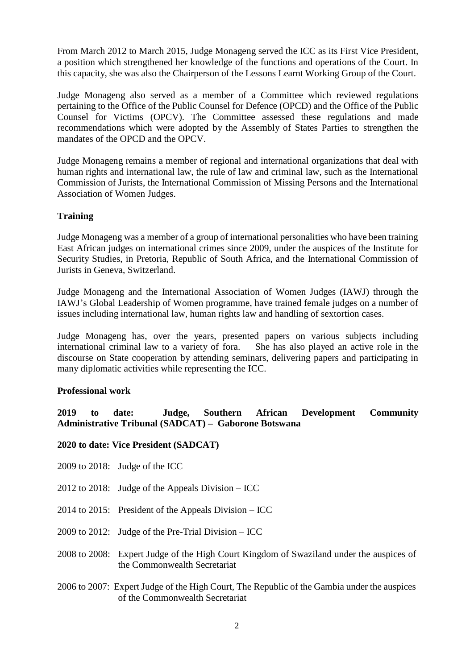From March 2012 to March 2015, Judge Monageng served the ICC as its First Vice President, a position which strengthened her knowledge of the functions and operations of the Court. In this capacity, she was also the Chairperson of the Lessons Learnt Working Group of the Court.

Judge Monageng also served as a member of a Committee which reviewed regulations pertaining to the Office of the Public Counsel for Defence (OPCD) and the Office of the Public Counsel for Victims (OPCV). The Committee assessed these regulations and made recommendations which were adopted by the Assembly of States Parties to strengthen the mandates of the OPCD and the OPCV.

Judge Monageng remains a member of regional and international organizations that deal with human rights and international law, the rule of law and criminal law, such as the International Commission of Jurists, the International Commission of Missing Persons and the International Association of Women Judges.

## **Training**

Judge Monageng was a member of a group of international personalities who have been training East African judges on international crimes since 2009, under the auspices of the Institute for Security Studies, in Pretoria, Republic of South Africa, and the International Commission of Jurists in Geneva, Switzerland.

Judge Monageng and the International Association of Women Judges (IAWJ) through the IAWJ's Global Leadership of Women programme, have trained female judges on a number of issues including international law, human rights law and handling of sextortion cases.

Judge Monageng has, over the years, presented papers on various subjects including international criminal law to a variety of fora. She has also played an active role in the discourse on State cooperation by attending seminars, delivering papers and participating in many diplomatic activities while representing the ICC.

## **Professional work**

**2019 to date: Judge, Southern African Development Community Administrative Tribunal (SADCAT) – Gaborone Botswana**

**2020 to date: Vice President (SADCAT)**

- 2009 to 2018: Judge of the ICC
- 2012 to 2018: Judge of the Appeals Division ICC
- 2014 to 2015: President of the Appeals Division ICC
- 2009 to 2012: Judge of the Pre-Trial Division ICC
- 2008 to 2008: Expert Judge of the High Court Kingdom of Swaziland under the auspices of the Commonwealth Secretariat
- 2006 to 2007: Expert Judge of the High Court, The Republic of the Gambia under the auspices of the Commonwealth Secretariat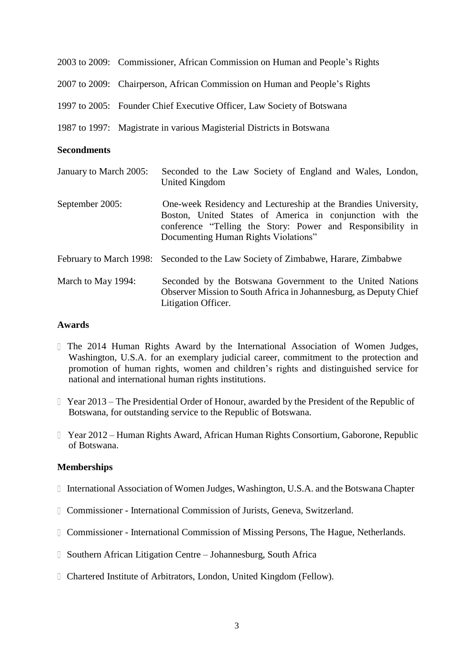|                         |  | 2003 to 2009: Commissioner, African Commission on Human and People's Rights                                                                                                                                                      |
|-------------------------|--|----------------------------------------------------------------------------------------------------------------------------------------------------------------------------------------------------------------------------------|
|                         |  | 2007 to 2009: Chairperson, African Commission on Human and People's Rights                                                                                                                                                       |
|                         |  | 1997 to 2005: Founder Chief Executive Officer, Law Society of Botswana                                                                                                                                                           |
|                         |  | 1987 to 1997: Magistrate in various Magisterial Districts in Botswana                                                                                                                                                            |
| <b>Secondments</b>      |  |                                                                                                                                                                                                                                  |
| January to March 2005:  |  | Seconded to the Law Society of England and Wales, London,<br>United Kingdom                                                                                                                                                      |
| September 2005:         |  | One-week Residency and Lectureship at the Brandies University,<br>Boston, United States of America in conjunction with the<br>conference "Telling the Story: Power and Responsibility in<br>Documenting Human Rights Violations" |
| February to March 1998: |  | Seconded to the Law Society of Zimbabwe, Harare, Zimbabwe                                                                                                                                                                        |
| March to May 1994:      |  | Seconded by the Botswana Government to the United Nations<br>Observer Mission to South Africa in Johannesburg, as Deputy Chief<br>Litigation Officer.                                                                            |

#### **Awards**

- The 2014 Human Rights Award by the International Association of Women Judges, Washington, U.S.A. for an exemplary judicial career, commitment to the protection and promotion of human rights, women and children's rights and distinguished service for national and international human rights institutions.
- Year 2013 The Presidential Order of Honour, awarded by the President of the Republic of Botswana, for outstanding service to the Republic of Botswana.
- Year 2012 Human Rights Award, African Human Rights Consortium, Gaborone, Republic of Botswana.

### **Memberships**

- International Association of Women Judges, Washington, U.S.A. and the Botswana Chapter
- Commissioner International Commission of Jurists, Geneva, Switzerland.
- Commissioner International Commission of Missing Persons, The Hague, Netherlands.
- Southern African Litigation Centre Johannesburg, South Africa
- Chartered Institute of Arbitrators, London, United Kingdom (Fellow).